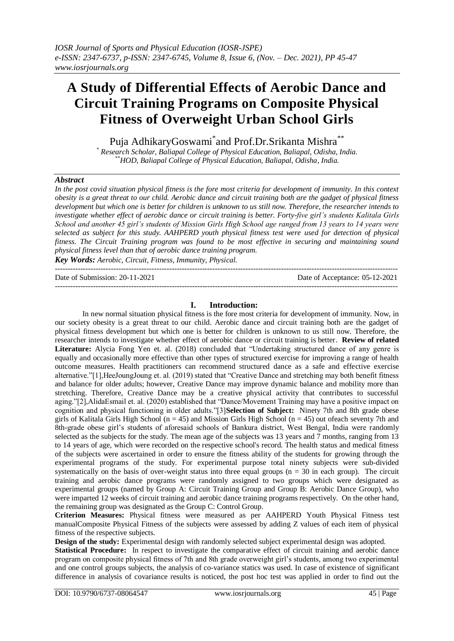# **A Study of Differential Effects of Aerobic Dance and Circuit Training Programs on Composite Physical Fitness of Overweight Urban School Girls**

Puja AdhikaryGoswami\* and Prof.Dr.Srikanta Mishra\*\*

*\* Research Scholar, Baliapal College of Physical Education, Baliapal, Odisha, India. \*\*HOD, Baliapal College of Physical Education, Baliapal, Odisha, India.*

# *Abstract*

In the post covid situation physical fitness is the fore most criteria for development of immunity. In this context *obesity is a great threat to our child. Aerobic dance and circuit training both are the gadget of physical fitness development but which one is better for children is unknown to us still now. Therefore, the researcher intends to investigate whether effect of aerobic dance or circuit training is better. Forty-five girl's students Kalitala Girls School and another 45 girl's students of Mission Girls High School age ranged from 13 years to 14 years were selected as subject for this study. AAHPERD youth physical fitness test were used for detection of physical fitness. The Circuit Training program was found to be most effective in securing and maintaining sound physical fitness level than that of aerobic dance training program.*

*Key Words: Aerobic, Circuit, Fitness, Immunity, Physical.* ---------------------------------------------------------------------------------------------------------------------------------------

Date of Submission: 20-11-2021 Date of Acceptance: 05-12-2021 ---------------------------------------------------------------------------------------------------------------------------------------

# **I. Introduction:**

In new normal situation physical fitness is the fore most criteria for development of immunity. Now, in our society obesity is a great threat to our child. Aerobic dance and circuit training both are the gadget of physical fitness development but which one is better for children is unknown to us still now. Therefore, the researcher intends to investigate whether effect of aerobic dance or circuit training is better. **Review of related**  Literature: Alycia Fong Yen et. al. (2018) concluded that "Undertaking structured dance of any genre is equally and occasionally more effective than other types of structured exercise for improving a range of health outcome measures. Health practitioners can recommend structured dance as a safe and effective exercise alternative."[1],HeeJoungJoung et. al. (2019) stated that "Creative Dance and stretching may both benefit fitness and balance for older adults; however, Creative Dance may improve dynamic balance and mobility more than stretching. Therefore, Creative Dance may be a creative physical activity that contributes to successful aging."[2],AlidaEsmail et. al. (2020) established that "Dance/Movement Training may have a positive impact on cognition and physical functioning in older adults."[3]**Selection of Subject:** Ninety 7th and 8th grade obese girls of Kalitala Girls High School ( $n = 45$ ) and Mission Girls High School ( $n = 45$ ) out ofeach seventy 7th and 8th-grade obese girl's students of aforesaid schools of Bankura district, West Bengal, India were randomly selected as the subjects for the study. The mean age of the subjects was 13 years and 7 months, ranging from 13 to 14 years of age, which were recorded on the respective school's record. The health status and medical fitness of the subjects were ascertained in order to ensure the fitness ability of the students for growing through the experimental programs of the study. For experimental purpose total ninety subjects were sub-divided systematically on the basis of over-weight status into three equal groups  $(n = 30$  in each group). The circuit training and aerobic dance programs were randomly assigned to two groups which were designated as experimental groups (named by Group A: Circuit Training Group and Group B: Aerobic Dance Group), who were imparted 12 weeks of circuit training and aerobic dance training programs respectively. On the other hand, the remaining group was designated as the Group C: Control Group.

**Criterion Measures:** Physical fitness were measured as per AAHPERD Youth Physical Fitness test manualComposite Physical Fitness of the subjects were assessed by adding Z values of each item of physical fitness of the respective subjects.

**Design of the study:** Experimental design with randomly selected subject experimental design was adopted.

**Statistical Procedure:** In respect to investigate the comparative effect of circuit training and aerobic dance program on composite physical fitness of 7th and 8th grade overweight girl's students, among two experimental and one control groups subjects, the analysis of co-variance statics was used. In case of existence of significant difference in analysis of covariance results is noticed, the post hoc test was applied in order to find out the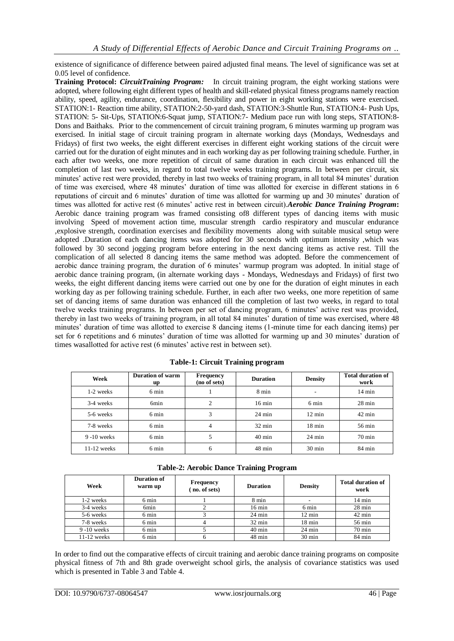existence of significance of difference between paired adjusted final means. The level of significance was set at 0.05 level of confidence.

**Training Protocol:** *CircuitTraining Program:* In circuit training program, the eight working stations were adopted, where following eight different types of health and skill-related physical fitness programs namely reaction ability, speed, agility, endurance, coordination, flexibility and power in eight working stations were exercised. STATION:1- Reaction time ability, STATION:2-50-yard dash, STATION:3-Shuttle Run, STATION:4- Push Ups, STATION: 5- Sit-Ups, STATION:6-Squat jump, STATION:7- Medium pace run with long steps, STATION:8- Dons and Baithaks. Prior to the commencement of circuit training program, 6 minutes warming up program was exercised. In initial stage of circuit training program in alternate working days (Mondays, Wednesdays and Fridays) of first two weeks, the eight different exercises in different eight working stations of the circuit were carried out for the duration of eight minutes and in each working day as per following training schedule. Further, in each after two weeks, one more repetition of circuit of same duration in each circuit was enhanced till the completion of last two weeks, in regard to total twelve weeks training programs. In between per circuit, six minutes' active rest were provided, thereby in last two weeks of training program, in all total 84 minutes' duration of time was exercised, where 48 minutes' duration of time was allotted for exercise in different stations in 6 reputations of circuit and 6 minutes' duration of time was allotted for warming up and 30 minutes' duration of times was allotted for active rest (6 minutes' active rest in between circuit).*Aerobic Dance Training Program***:**  Aerobic dance training program was framed consisting of8 different types of dancing items with music involving Speed of movement action time, muscular strength cardio respiratory and muscular endurance ,explosive strength, coordination exercises and flexibility movements along with suitable musical setup were adopted .Duration of each dancing items was adopted for 30 seconds with optimum intensity ,which was followed by 30 second jogging program before entering in the next dancing items as active rest. Till the complication of all selected 8 dancing items the same method was adopted. Before the commencement of aerobic dance training program, the duration of 6 minutes' warmup program was adopted. In initial stage of aerobic dance training program, (in alternate working days - Mondays, Wednesdays and Fridays) of first two weeks, the eight different dancing items were carried out one by one for the duration of eight minutes in each working day as per following training schedule. Further, in each after two weeks, one more repetition of same set of dancing items of same duration was enhanced till the completion of last two weeks, in regard to total twelve weeks training programs. In between per set of dancing program, 6 minutes' active rest was provided, thereby in last two weeks of training program, in all total 84 minutes' duration of time was exercised, where 48 minutes' duration of time was allotted to exercise 8 dancing items (1-minute time for each dancing items) per set for 6 repetitions and 6 minutes' duration of time was allotted for warming up and 30 minutes' duration of times wasallotted for active rest (6 minutes' active rest in between set).

| Week           | <b>Duration of warm</b><br>up | <b>Frequency</b><br>(no of sets) | <b>Duration</b>  | <b>Density</b>           | <b>Total duration of</b><br>work |
|----------------|-------------------------------|----------------------------------|------------------|--------------------------|----------------------------------|
| 1-2 weeks      | 6 min                         |                                  | 8 min            | $\overline{\phantom{a}}$ | $14 \text{ min}$                 |
| 3-4 weeks      | 6 <sub>min</sub>              | $\overline{c}$                   | $16 \text{ min}$ | 6 min                    | $28 \text{ min}$                 |
| 5-6 weeks      | 6 min                         | 3                                | $24 \text{ min}$ | $12 \text{ min}$         | $42 \text{ min}$                 |
| 7-8 weeks      | 6 min                         | 4                                | $32 \text{ min}$ | $18 \text{ min}$         | 56 min                           |
| $9 - 10$ weeks | 6 min                         | 5                                | $40 \text{ min}$ | $24 \text{ min}$         | $70 \text{ min}$                 |
| $11-12$ weeks  | 6 min                         | 6                                | $48 \text{ min}$ | $30 \text{ min}$         | 84 min                           |

| Week          | Duration of<br>warm up | Frequency<br>(no. of sets) | <b>Duration</b>  | <b>Density</b>   | <b>Total duration of</b><br>work |
|---------------|------------------------|----------------------------|------------------|------------------|----------------------------------|
| 1-2 weeks     | 6 min                  |                            | 8 min            |                  | $14 \text{ min}$                 |
| 3-4 weeks     | 6 <sub>min</sub>       |                            | $16 \text{ min}$ | 6 min            | $28 \text{ min}$                 |
| 5-6 weeks     | 6 min                  |                            | $24 \text{ min}$ | $12 \text{ min}$ | $42$ min                         |
| 7-8 weeks     | 6 min                  |                            | $32 \text{ min}$ | $18 \text{ min}$ | 56 min                           |
| $9-10$ weeks  | 6 min                  |                            | $40 \text{ min}$ | $24 \text{ min}$ | $70 \text{ min}$                 |
| $11-12$ weeks | 6 min                  | O                          | $48 \text{ min}$ | $30 \text{ min}$ | 84 min                           |

In order to find out the comparative effects of circuit training and aerobic dance training programs on composite physical fitness of 7th and 8th grade overweight school girls, the analysis of covariance statistics was used which is presented in Table 3 and Table 4.